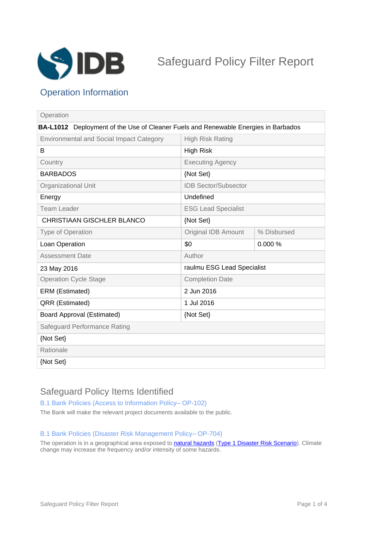

## Operation Information

| Operation                                                                                 |                             |             |
|-------------------------------------------------------------------------------------------|-----------------------------|-------------|
| <b>BA-L1012</b> Deployment of the Use of Cleaner Fuels and Renewable Energies in Barbados |                             |             |
| <b>Environmental and Social Impact Category</b>                                           | <b>High Risk Rating</b>     |             |
| B                                                                                         | <b>High Risk</b>            |             |
| Country                                                                                   | <b>Executing Agency</b>     |             |
| <b>BARBADOS</b>                                                                           | {Not Set}                   |             |
| Organizational Unit                                                                       | <b>IDB Sector/Subsector</b> |             |
| Energy                                                                                    | Undefined                   |             |
| Team Leader                                                                               | <b>ESG Lead Specialist</b>  |             |
| CHRISTIAAN GISCHLER BLANCO                                                                | {Not Set}                   |             |
| Type of Operation                                                                         | <b>Original IDB Amount</b>  | % Disbursed |
| Loan Operation                                                                            | \$0                         | 0.000%      |
| <b>Assessment Date</b>                                                                    | Author                      |             |
| 23 May 2016                                                                               | raulmu ESG Lead Specialist  |             |
| <b>Operation Cycle Stage</b>                                                              | <b>Completion Date</b>      |             |
| ERM (Estimated)                                                                           | 2 Jun 2016                  |             |
| QRR (Estimated)                                                                           | 1 Jul 2016                  |             |
| <b>Board Approval (Estimated)</b>                                                         | {Not Set}                   |             |
| Safeguard Performance Rating                                                              |                             |             |
| {Not Set}                                                                                 |                             |             |
| Rationale                                                                                 |                             |             |
| {Not Set}                                                                                 |                             |             |

## Safeguard Policy Items Identified

B.1 Bank Policies (Access to Information Policy-OP-102)

The Bank will make the relevant project documents available to the public.

#### B.1 Bank Policies (Disaster Risk Management Policy-OP-704)

The operation is in a geographical area exposed to **[natural hazards](javascript:ShowTerm() [\(Type 1 Disaster Risk Scenario](javascript:ShowTerm()**). Climate change may increase the frequency and/or intensity of some hazards.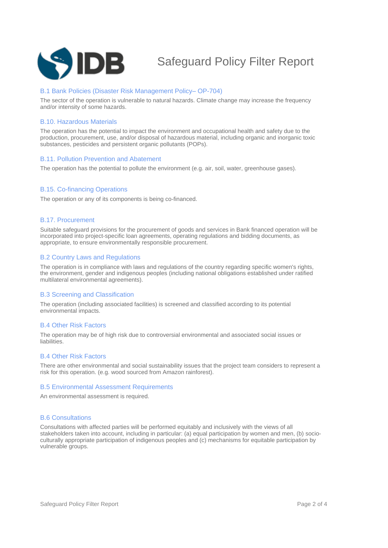

#### B.1 Bank Policies (Disaster Risk Management Policy-OP-704)

The sector of the operation is vulnerable to natural hazards. Climate change may increase the frequency and/or intensity of some hazards.

#### B.10. Hazardous Materials

The operation has the potential to impact the environment and occupational health and safety due to the production, procurement, use, and/or disposal of hazardous material, including organic and inorganic toxic substances, pesticides and persistent organic pollutants (POPs).

#### B.11. Pollution Prevention and Abatement

The operation has the potential to pollute the environment (e.g. air, soil, water, greenhouse gases).

#### B.15. Co-financing Operations

The operation or any of its components is being co-financed.

#### B.17. Procurement

Suitable safeguard provisions for the procurement of goods and services in Bank financed operation will be incorporated into project-specific loan agreements, operating regulations and bidding documents, as appropriate, to ensure environmentally responsible procurement.

#### B.2 Country Laws and Regulations

The operation is in compliance with laws and regulations of the country regarding specific women's rights, the environment, gender and indigenous peoples (including national obligations established under ratified multilateral environmental agreements).

#### B.3 Screening and Classification

The operation (including associated facilities) is screened and classified according to its potential environmental impacts.

#### B.4 Other Risk Factors

The operation may be of high risk due to controversial environmental and associated social issues or liabilities.

#### B.4 Other Risk Factors

There are other environmental and social sustainability issues that the project team considers to represent a risk for this operation. (e.g. wood sourced from Amazon rainforest).

#### B.5 Environmental Assessment Requirements

An environmental assessment is required.

#### B.6 Consultations

Consultations with affected parties will be performed equitably and inclusively with the views of all stakeholders taken into account, including in particular: (a) equal participation by women and men, (b) socioculturally appropriate participation of indigenous peoples and (c) mechanisms for equitable participation by vulnerable groups.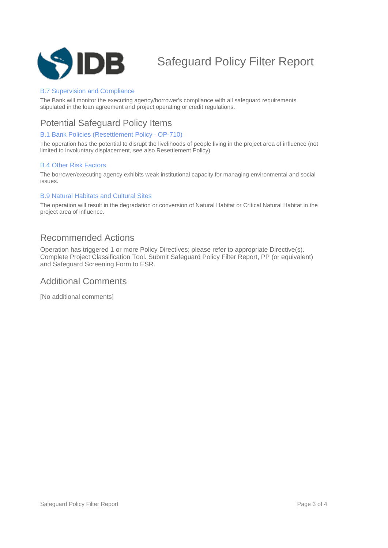

#### B.7 Supervision and Compliance

The Bank will monitor the executing agency/borrower's compliance with all safeguard requirements stipulated in the loan agreement and project operating or credit regulations.

## Potential Safeguard Policy Items

#### B.1 Bank Policies (Resettlement Policy-OP-710)

The operation has the potential to disrupt the livelihoods of people living in the project area of influence (not limited to involuntary displacement, see also Resettlement Policy)

#### B.4 Other Risk Factors

The borrower/executing agency exhibits weak institutional capacity for managing environmental and social issues.

#### B.9 Natural Habitats and Cultural Sites

The operation will result in the degradation or conversion of Natural Habitat or Critical Natural Habitat in the project area of influence.

### Recommended Actions

Operation has triggered 1 or more Policy Directives; please refer to appropriate Directive(s). Complete Project Classification Tool. Submit Safeguard Policy Filter Report, PP (or equivalent) and Safeguard Screening Form to ESR.

### Additional Comments

[No additional comments]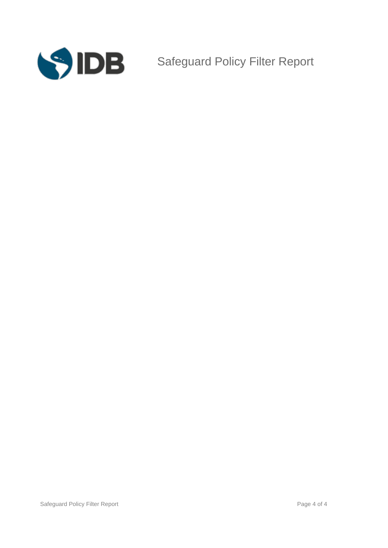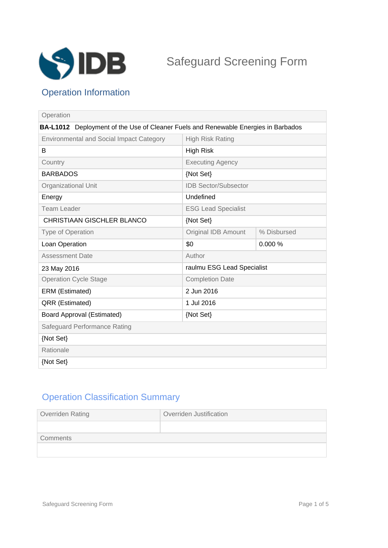

## Operation Information

| <b>BA-L1012</b> Deployment of the Use of Cleaner Fuels and Renewable Energies in Barbados |             |  |
|-------------------------------------------------------------------------------------------|-------------|--|
| <b>High Risk Rating</b>                                                                   |             |  |
| <b>High Risk</b>                                                                          |             |  |
| <b>Executing Agency</b>                                                                   |             |  |
| {Not Set}                                                                                 |             |  |
| <b>IDB Sector/Subsector</b>                                                               |             |  |
| Undefined                                                                                 |             |  |
| <b>ESG Lead Specialist</b>                                                                |             |  |
| {Not Set}                                                                                 |             |  |
| <b>Original IDB Amount</b>                                                                | % Disbursed |  |
| \$0                                                                                       | 0.000%      |  |
| Author                                                                                    |             |  |
| raulmu ESG Lead Specialist                                                                |             |  |
| <b>Completion Date</b>                                                                    |             |  |
| 2 Jun 2016                                                                                |             |  |
| 1 Jul 2016                                                                                |             |  |
| {Not Set}                                                                                 |             |  |
| Safeguard Performance Rating                                                              |             |  |
|                                                                                           |             |  |
| Rationale                                                                                 |             |  |
|                                                                                           |             |  |
|                                                                                           |             |  |

## Operation Classification Summary

| Overriden Rating | Overriden Justification |
|------------------|-------------------------|
|                  |                         |
| Comments         |                         |
|                  |                         |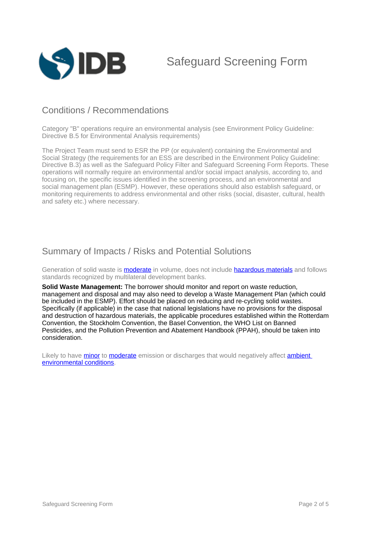

## Conditions / Recommendations

Category "B" operations require an environmental analysis (see Environment Policy Guideline: Directive B.5 for Environmental Analysis requirements)

The Project Team must send to ESR the PP (or equivalent) containing the Environmental and Social Strategy (the requirements for an ESS are described in the Environment Policy Guideline: Directive B.3) as well as the Safeguard Policy Filter and Safeguard Screening Form Reports. These operations will normally require an environmental and/or social impact analysis, according to, and focusing on, the specific issues identified in the screening process, and an environmental and social management plan (ESMP). However, these operations should also establish safeguard, or monitoring requirements to address environmental and other risks (social, disaster, cultural, health and safety etc.) where necessary.

## Summary of Impacts / Risks and Potential Solutions

Generation of solid waste is [moderate](javascript:ShowTerm() in volume, does not include [hazardous materials](javascript:ShowTerm() and follows standards recognized by multilateral development banks.

**Solid Waste Management:** The borrower should monitor and report on waste reduction, management and disposal and may also need to develop a Waste Management Plan (which could be included in the ESMP). Effort should be placed on reducing and re-cycling solid wastes. Specifically (if applicable) in the case that national legislations have no provisions for the disposal and destruction of hazardous materials, the applicable procedures established within the Rotterdam Convention, the Stockholm Convention, the Basel Convention, the WHO List on Banned Pesticides, and the Pollution Prevention and Abatement Handbook (PPAH), should be taken into consideration.

Likely to have [minor](javascript:ShowTerm() to [moderate](javascript:ShowTerm() emission or discharges that would negatively affect ambient [environmental conditions](javascript:ShowTerm().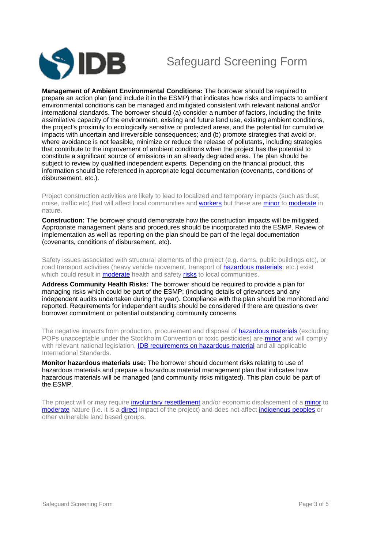

**Management of Ambient Environmental Conditions:** The borrower should be required to prepare an action plan (and include it in the ESMP) that indicates how risks and impacts to ambient environmental conditions can be managed and mitigated consistent with relevant national and/or international standards. The borrower should (a) consider a number of factors, including the finite assimilative capacity of the environment, existing and future land use, existing ambient conditions, the project's proximity to ecologically sensitive or protected areas, and the potential for cumulative impacts with uncertain and irreversible consequences; and (b) promote strategies that avoid or, where avoidance is not feasible, minimize or reduce the release of pollutants, including strategies that contribute to the improvement of ambient conditions when the project has the potential to constitute a significant source of emissions in an already degraded area. The plan should be subject to review by qualified independent experts. Depending on the financial product, this information should be referenced in appropriate legal documentation (covenants, conditions of disbursement, etc.).

Project construction activities are likely to lead to localized and temporary impacts (such as dust, noise, traffic etc) that will affect local communities and [workers](javascript:ShowTerm() but these are [minor](javascript:ShowTerm() to [moderate](javascript:ShowTerm() in nature.

**Construction:** The borrower should demonstrate how the construction impacts will be mitigated. Appropriate management plans and procedures should be incorporated into the ESMP. Review of implementation as well as reporting on the plan should be part of the legal documentation (covenants, conditions of disbursement, etc).

Safety issues associated with structural elements of the project (e.g. dams, public buildings etc), or road transport activities (heavy vehicle movement, transport of **hazardous materials**, etc.) exist which could result in **moderate** health and safety [risks](javascript:ShowTerm() to local communities.

**Address Community Health Risks:** The borrower should be required to provide a plan for managing risks which could be part of the ESMP; (including details of grievances and any independent audits undertaken during the year). Compliance with the plan should be monitored and reported. Requirements for independent audits should be considered if there are questions over borrower commitment or potential outstanding community concerns.

The negative impacts from production, procurement and disposal of **hazardous materials** (excluding POPs unacceptable under the Stockholm Convention or toxic pesticides) are [minor](javascript:ShowTerm() and will comply with relevant national legislation, **IDB requirements on hazardous material** and all applicable International Standards.

**Monitor hazardous materials use:** The borrower should document risks relating to use of hazardous materials and prepare a hazardous material management plan that indicates how hazardous materials will be managed (and community risks mitigated). This plan could be part of the ESMP.

The project will or may require *involuntary resettlement* and/or economic displacement of a *minor* to [moderate](javascript:ShowTerm() nature (i.e. it is a [direct](javascript:ShowTerm() impact of the project) and does not affect [indigenous peoples](javascript:ShowTerm() or other vulnerable land based groups.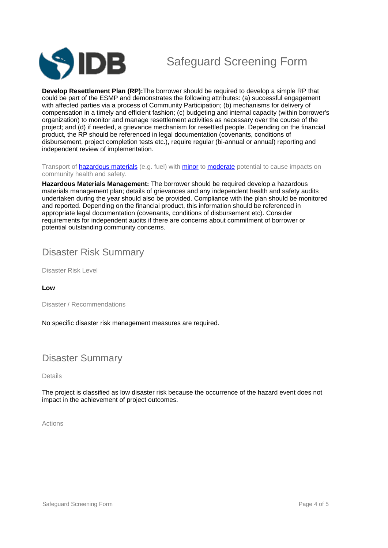

**Develop Resettlement Plan (RP):**The borrower should be required to develop a simple RP that could be part of the ESMP and demonstrates the following attributes: (a) successful engagement with affected parties via a process of Community Participation; (b) mechanisms for delivery of compensation in a timely and efficient fashion; (c) budgeting and internal capacity (within borrower's organization) to monitor and manage resettlement activities as necessary over the course of the project; and (d) if needed, a grievance mechanism for resettled people. Depending on the financial product, the RP should be referenced in legal documentation (covenants, conditions of disbursement, project completion tests etc.), require regular (bi-annual or annual) reporting and independent review of implementation.

Transport of **hazardous materials** (e.g. fuel) with **minor** to **moderate** potential to cause impacts on community health and safety.

**Hazardous Materials Management:** The borrower should be required develop a hazardous materials management plan; details of grievances and any independent health and safety audits undertaken during the year should also be provided. Compliance with the plan should be monitored and reported. Depending on the financial product, this information should be referenced in appropriate legal documentation (covenants, conditions of disbursement etc). Consider requirements for independent audits if there are concerns about commitment of borrower or potential outstanding community concerns.

## Disaster Risk Summary

Disaster Risk Level

**Low**

Disaster / Recommendations

No specific disaster risk management measures are required.

## Disaster Summary

Details

The project is classified as low disaster risk because the occurrence of the hazard event does not impact in the achievement of project outcomes.

Actions